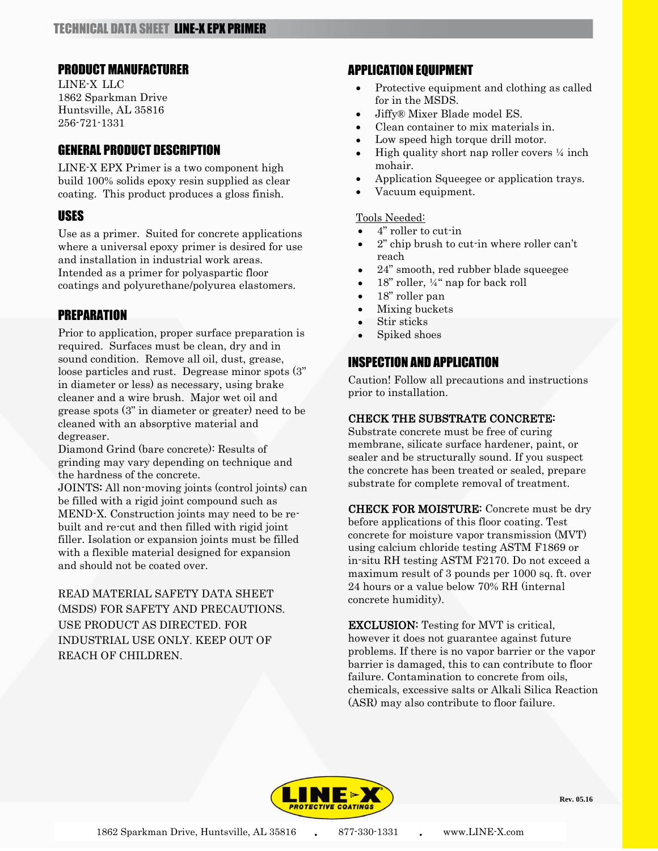### PRODUCT MANUFACTURER

LINE-X LLC 1862 Sparkman Drive Huntsville, AL 35816 256-721-1331

## GENERAL PRODUCT DESCRIPTION

LINE-X EPX Primer is a two component high build 100% solids epoxy resin supplied as clear coating. This product produces a gloss finish.

## USES

Use as a primer. Suited for concrete applications where a universal epoxy primer is desired for use and installation in industrial work areas. Intended as a primer for polyaspartic floor coatings and polyurethane/polyurea elastomers.

## PREPARATION

Prior to application, proper surface preparation is required. Surfaces must be clean, dry and in sound condition. Remove all oil, dust, grease, loose particles and rust. Degrease minor spots (3" in diameter or less) as necessary, using brake cleaner and a wire brush. Major wet oil and grease spots (3" in diameter or greater) need to be cleaned with an absorptive material and degreaser.

Diamond Grind (bare concrete): Results of grinding may vary depending on technique and the hardness of the concrete.

JOINTS: All non-moving joints (control joints) can be filled with a rigid joint compound such as MEND-X. Construction joints may need to be rebuilt and re-cut and then filled with rigid joint filler. Isolation or expansion joints must be filled with a flexible material designed for expansion and should not be coated over.

READ MATERIAL SAFETY DATA SHEET (MSDS) FOR SAFETY AND PRECAUTIONS. USE PRODUCT AS DIRECTED. FOR INDUSTRIAL USE ONLY. KEEP OUT OF REACH OF CHILDREN.

## APPLICATION EQUIPMENT

- Protective equipment and clothing as called for in the MSDS.
- Jiffy® Mixer Blade model ES.
- Clean container to mix materials in.
- Low speed high torque drill motor.
- High quality short nap roller covers  $\frac{1}{4}$  inch mohair.
- Application Squeegee or application trays.
- Vacuum equipment.

### Tools Needed:

- 4" roller to cut-in
- 2" chip brush to cut-in where roller can't reach
- 24" smooth, red rubber blade squeegee
- 18" roller, ¼" nap for back roll
- 18" roller pan
- Mixing buckets
- Stir sticks
- Spiked shoes

# INSPECTION AND APPLICATION

Caution! Follow all precautions and instructions prior to installation.

### CHECK THE SUBSTRATE CONCRETE:

Substrate concrete must be free of curing membrane, silicate surface hardener, paint, or sealer and be structurally sound. If you suspect the concrete has been treated or sealed, prepare substrate for complete removal of treatment.

CHECK FOR MOISTURE: Concrete must be dry before applications of this floor coating. Test concrete for moisture vapor transmission (MVT) using calcium chloride testing ASTM F1869 or in-situ RH testing ASTM F2170. Do not exceed a maximum result of 3 pounds per 1000 sq. ft. over 24 hours or a value below 70% RH (internal concrete humidity).

EXCLUSION: Testing for MVT is critical, however it does not guarantee against future problems. If there is no vapor barrier or the vapor barrier is damaged, this to can contribute to floor failure. Contamination to concrete from oils, chemicals, excessive salts or Alkali Silica Reaction (ASR) may also contribute to floor failure.



**Rev. 05.16**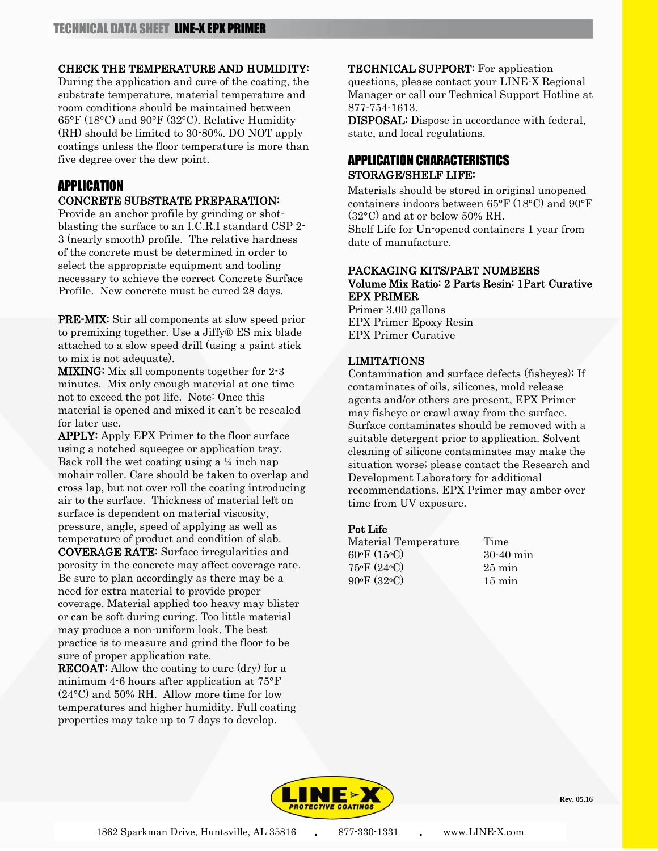### CHECK THE TEMPERATURE AND HUMIDITY:

During the application and cure of the coating, the substrate temperature, material temperature and room conditions should be maintained between 65°F (18°C) and 90°F (32°C). Relative Humidity (RH) should be limited to 30-80%. DO NOT apply coatings unless the floor temperature is more than five degree over the dew point.

## APPLICATION

### CONCRETE SUBSTRATE PREPARATION:

Provide an anchor profile by grinding or shotblasting the surface to an I.C.R.I standard CSP 2- 3 (nearly smooth) profile. The relative hardness of the concrete must be determined in order to select the appropriate equipment and tooling necessary to achieve the correct Concrete Surface Profile. New concrete must be cured 28 days.

PRE-MIX: Stir all components at slow speed prior to premixing together. Use a Jiffy® ES mix blade attached to a slow speed drill (using a paint stick to mix is not adequate).

MIXING: Mix all components together for 2-3 minutes. Mix only enough material at one time not to exceed the pot life. Note: Once this material is opened and mixed it can't be resealed for later use.

APPLY: Apply EPX Primer to the floor surface using a notched squeegee or application tray. Back roll the wet coating using a  $\frac{1}{4}$  inch nap mohair roller. Care should be taken to overlap and cross lap, but not over roll the coating introducing air to the surface. Thickness of material left on surface is dependent on material viscosity, pressure, angle, speed of applying as well as temperature of product and condition of slab.

COVERAGE RATE: Surface irregularities and porosity in the concrete may affect coverage rate. Be sure to plan accordingly as there may be a need for extra material to provide proper coverage. Material applied too heavy may blister or can be soft during curing. Too little material may produce a non-uniform look. The best practice is to measure and grind the floor to be sure of proper application rate.

**RECOAT:** Allow the coating to cure (dry) for a minimum 4-6 hours after application at 75°F (24°C) and 50% RH. Allow more time for low temperatures and higher humidity. Full coating properties may take up to 7 days to develop.

TECHNICAL SUPPORT: For application

questions, please contact your LINE-X Regional Manager or call our Technical Support Hotline at 877-754-1613.

DISPOSAL: Dispose in accordance with federal, state, and local regulations.

## APPLICATION CHARACTERISTICS STORAGE/SHELF LIFE:

Materials should be stored in original unopened containers indoors between 65°F (18°C) and 90°F (32°C) and at or below 50% RH. Shelf Life for Un-opened containers 1 year from date of manufacture.

### PACKAGING KITS/PART NUMBERS Volume Mix Ratio: 2 Parts Resin: 1Part Curative EPX PRIMER

Primer 3.00 gallons EPX Primer Epoxy Resin EPX Primer Curative

### LIMITATIONS

Contamination and surface defects (fisheyes): If contaminates of oils, silicones, mold release agents and/or others are present, EPX Primer may fisheye or crawl away from the surface. Surface contaminates should be removed with a suitable detergent prior to application. Solvent cleaning of silicone contaminates may make the situation worse; please contact the Research and Development Laboratory for additional recommendations. EPX Primer may amber over time from UV exposure.

### Pot Life

| Time             |
|------------------|
| $30-40$ min      |
| $25 \text{ min}$ |
| $15 \text{ min}$ |
|                  |



**Rev. 05.16**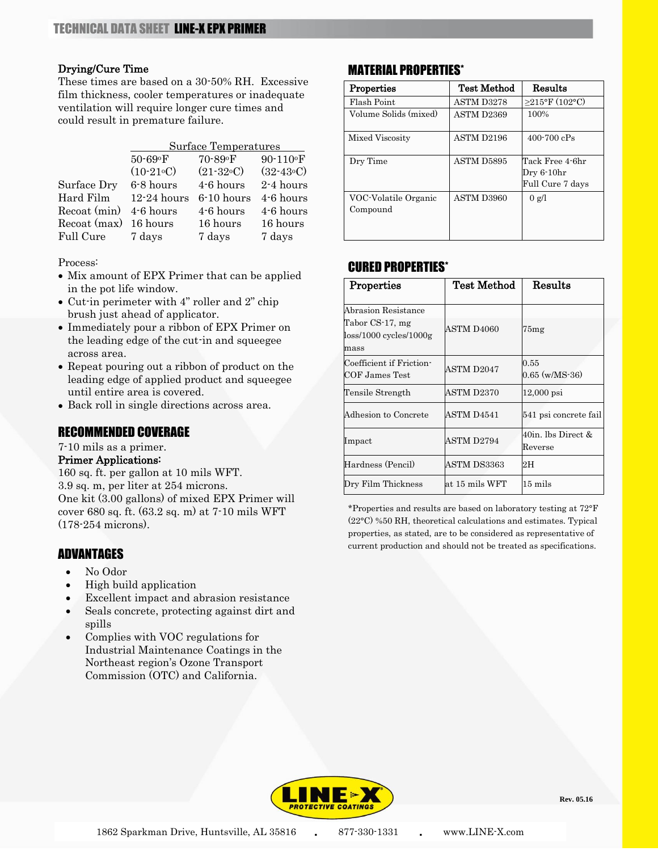### Drying/Cure Time

These times are based on a 30-50% RH. Excessive film thickness, cooler temperatures or inadequate ventilation will require longer cure times and could result in premature failure.

|                       | Surface Temperatures |              |             |  |
|-----------------------|----------------------|--------------|-------------|--|
|                       | 50-69°F              | 70-89°F      | 90-110°F    |  |
|                       | $(10-21°C)$          | $(21-32°C)$  | $(32-43°C)$ |  |
| Surface Dry           | 6-8 hours            | 4-6 hours    | 2-4 hours   |  |
| Hard Film             | $12 - 24$ hours      | $6-10$ hours | 4-6 hours   |  |
| Recoat (min)          | 4-6 hours            | 4-6 hours    | 4-6 hours   |  |
| Recoat (max) 16 hours |                      | 16 hours     | 16 hours    |  |
| Full Cure             | 7 days               | 7 days       | 7 days      |  |

Process:

- Mix amount of EPX Primer that can be applied in the pot life window.
- Cut-in perimeter with 4" roller and 2" chip brush just ahead of applicator.
- Immediately pour a ribbon of EPX Primer on the leading edge of the cut-in and squeegee across area.
- Repeat pouring out a ribbon of product on the leading edge of applied product and squeegee until entire area is covered.
- Back roll in single directions across area.

### RECOMMENDED COVERAGE

7-10 mils as a primer.

### Primer Applications:

160 sq. ft. per gallon at 10 mils WFT. 3.9 sq. m, per liter at 254 microns. One kit (3.00 gallons) of mixed EPX Primer will cover 680 sq. ft. (63.2 sq. m) at 7-10 mils WFT (178-254 microns).

## ADVANTAGES

- No Odor
- High build application
- Excellent impact and abrasion resistance
- Seals concrete, protecting against dirt and spills
- Complies with VOC regulations for Industrial Maintenance Coatings in the Northeast region's Ozone Transport Commission (OTC) and California.

## MATERIAL PROPERTIES\*

| Properties            | <b>Test Method</b> | Results           |
|-----------------------|--------------------|-------------------|
| Flash Point           | ASTM D3278         | $>215$ °F (102°C) |
| Volume Solids (mixed) | ASTM D2369         | 100%              |
| Mixed Viscosity       | ASTM D2196         | $400 - 700$ $cPs$ |
| Dry Time              | ASTM D5895         | Tack Free 4-6hr   |
|                       |                    | Dry 6-10hr        |
|                       |                    | Full Cure 7 days  |
| VOC-Volatile Organic  | ASTM D3960         | $0 \text{ g/l}$   |
| Compound              |                    |                   |
|                       |                    |                   |
|                       |                    |                   |

## CURED PROPERTIES\*

| Properties                                                                 | Test Method    | Results                                  |
|----------------------------------------------------------------------------|----------------|------------------------------------------|
| Abrasion Resistance<br>Tabor CS-17, mg<br>$loss/1000$ cycles/1000g<br>mass | ASTM D4060     | 75mg                                     |
| Coefficient if Friction-<br>COF James Test                                 | ASTM D2047     | 0.55<br>$0.65 \ (w/MS-36)$               |
| Tensile Strength                                                           | ASTM D2370     | $12,000$ psi                             |
| Adhesion to Concrete                                                       | ASTM D4541     | 541 psi concrete fail                    |
| Impact                                                                     | ASTM D2794     | $40$ in. lbs Direct &<br>${\rm Reverse}$ |
| Hardness (Pencil)                                                          | ASTM DS3363    | 2H                                       |
| Dry Film Thickness                                                         | at 15 mils WFT | $15 \text{ miles}$                       |

\*Properties and results are based on laboratory testing at 72°F (22°C) %50 RH, theoretical calculations and estimates. Typical properties, as stated, are to be considered as representative of current production and should not be treated as specifications.



**Rev. 05.16**